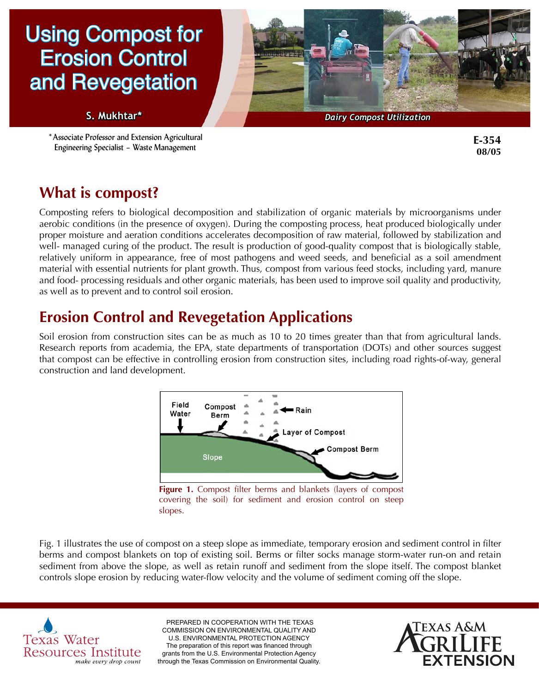# Using Compost for Erosion Control and Revegetation



\*Associate Professor and Extension Agricultural Engineering Specialist – Waste Management

**E-354 08/05**

### **What is compost?**

Composting refers to biological decomposition and stabilization of organic materials by microorganisms under aerobic conditions (in the presence of oxygen). During the composting process, heat produced biologically under proper moisture and aeration conditions accelerates decomposition of raw material, followed by stabilization and well- managed curing of the product. The result is production of good-quality compost that is biologically stable, relatively uniform in appearance, free of most pathogens and weed seeds, and beneficial as a soil amendment material with essential nutrients for plant growth. Thus, compost from various feed stocks, including yard, manure and food- processing residuals and other organic materials, has been used to improve soil quality and productivity, as well as to prevent and to control soil erosion.

## **Erosion Control and Revegetation Applications**

Soil erosion from construction sites can be as much as 10 to 20 times greater than that from agricultural lands. Research reports from academia, the EPA, state departments of transportation (DOTs) and other sources suggest that compost can be effective in controlling erosion from construction sites, including road rights-of-way, general construction and land development.



**Figure 1.** Compost filter berms and blankets (layers of compost covering the soil) for sediment and erosion control on steep slopes.

Fig. 1 illustrates the use of compost on a steep slope as immediate, temporary erosion and sediment control in filter berms and compost blankets on top of existing soil. Berms or filter socks manage storm-water run-on and retain sediment from above the slope, as well as retain runoff and sediment from the slope itself. The compost blanket controls slope erosion by reducing water-flow velocity and the volume of sediment coming off the slope.



 PREPARED IN COOPERATION WITH THE TEXAS COMMISSION ON ENVIRONMENTAL QUALITY AND U.S. ENVIRONMENTAL PROTECTION AGENCY The preparation of this report was financed through grants from the U.S. Environmental Protection Agency through the Texas Commission on Environmental Quality.

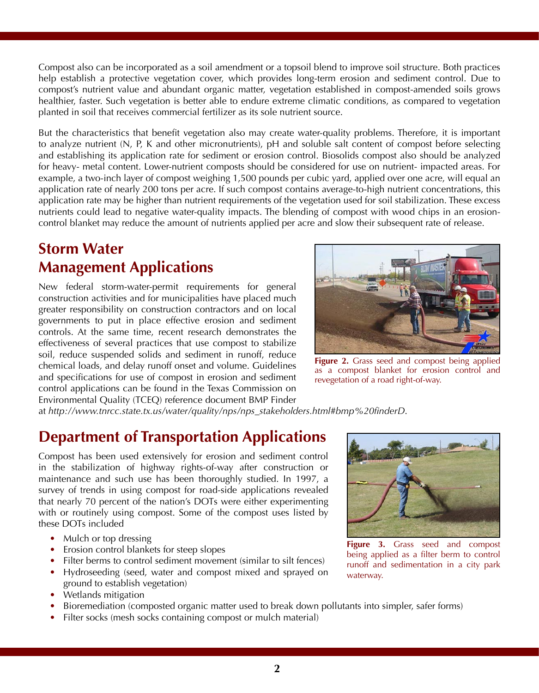Compost also can be incorporated as a soil amendment or a topsoil blend to improve soil structure. Both practices help establish a protective vegetation cover, which provides long-term erosion and sediment control. Due to compost's nutrient value and abundant organic matter, vegetation established in compost-amended soils grows healthier, faster. Such vegetation is better able to endure extreme climatic conditions, as compared to vegetation planted in soil that receives commercial fertilizer as its sole nutrient source.

But the characteristics that benefit vegetation also may create water-quality problems. Therefore, it is important to analyze nutrient (N, P, K and other micronutrients), pH and soluble salt content of compost before selecting and establishing its application rate for sediment or erosion control. Biosolids compost also should be analyzed for heavy- metal content. Lower-nutrient composts should be considered for use on nutrient- impacted areas. For example, a two-inch layer of compost weighing 1,500 pounds per cubic yard, applied over one acre, will equal an application rate of nearly 200 tons per acre. If such compost contains average-to-high nutrient concentrations, this application rate may be higher than nutrient requirements of the vegetation used for soil stabilization. These excess nutrients could lead to negative water-quality impacts. The blending of compost with wood chips in an erosioncontrol blanket may reduce the amount of nutrients applied per acre and slow their subsequent rate of release.

#### **Storm Water Management Applications**

New federal storm-water-permit requirements for general construction activities and for municipalities have placed much greater responsibility on construction contractors and on local governments to put in place effective erosion and sediment controls. At the same time, recent research demonstrates the effectiveness of several practices that use compost to stabilize soil, reduce suspended solids and sediment in runoff, reduce chemical loads, and delay runoff onset and volume. Guidelines and specifications for use of compost in erosion and sediment control applications can be found in the Texas Commission on Environmental Quality (TCEQ) reference document BMP Finder



**Figure 2.** Grass seed and compost being applied as a compost blanket for erosion control and revegetation of a road right-of-way.

at *http://www.tnrcc.state.tx.us/water/quality/nps/nps\_stakeholders.html#bmp%20finderD*.

### **Department of Transportation Applications**

Compost has been used extensively for erosion and sediment control in the stabilization of highway rights-of-way after construction or maintenance and such use has been thoroughly studied. In 1997, a survey of trends in using compost for road-side applications revealed that nearly 70 percent of the nation's DOTs were either experimenting with or routinely using compost. Some of the compost uses listed by these DOTs included

- Mulch or top dressing
- Erosion control blankets for steep slopes
- Filter berms to control sediment movement (similar to silt fences)
- Hydroseeding (seed, water and compost mixed and sprayed on ground to establish vegetation)
- Wetlands mitigation
- Bioremediation (composted organic matter used to break down pollutants into simpler, safer forms)
- Filter socks (mesh socks containing compost or mulch material)



**Figure 3.** Grass seed and compost being applied as a filter berm to control runoff and sedimentation in a city park waterway.